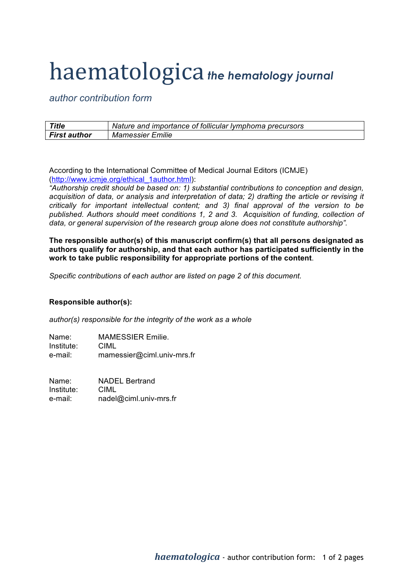## haematologica *the hematology journal*

*author contribution form*

| <b>Title</b>        | Nature and importance of follicular lymphoma precursors |
|---------------------|---------------------------------------------------------|
| <b>First author</b> | <b>Mamessier Emilie</b>                                 |

According to the International Committee of Medical Journal Editors (ICMJE) (http://www.icmje.org/ethical\_1author.html):

*"Authorship credit should be based on: 1) substantial contributions to conception and design, acquisition of data, or analysis and interpretation of data; 2) drafting the article or revising it critically for important intellectual content; and 3) final approval of the version to be*  published. Authors should meet conditions 1, 2 and 3. Acquisition of funding, collection of *data, or general supervision of the research group alone does not constitute authorship".*

**The responsible author(s) of this manuscript confirm(s) that all persons designated as authors qualify for authorship, and that each author has participated sufficiently in the work to take public responsibility for appropriate portions of the content**.

*Specific contributions of each author are listed on page 2 of this document.*

## **Responsible author(s):**

*author(s) responsible for the integrity of the work as a whole*

Name: MAMESSIER Emilie. Institute: CIML e-mail: mamessier@ciml.univ-mrs.fr

Name: NADEL Bertrand Institute: CIML e-mail: nadel@ciml.univ-mrs.fr